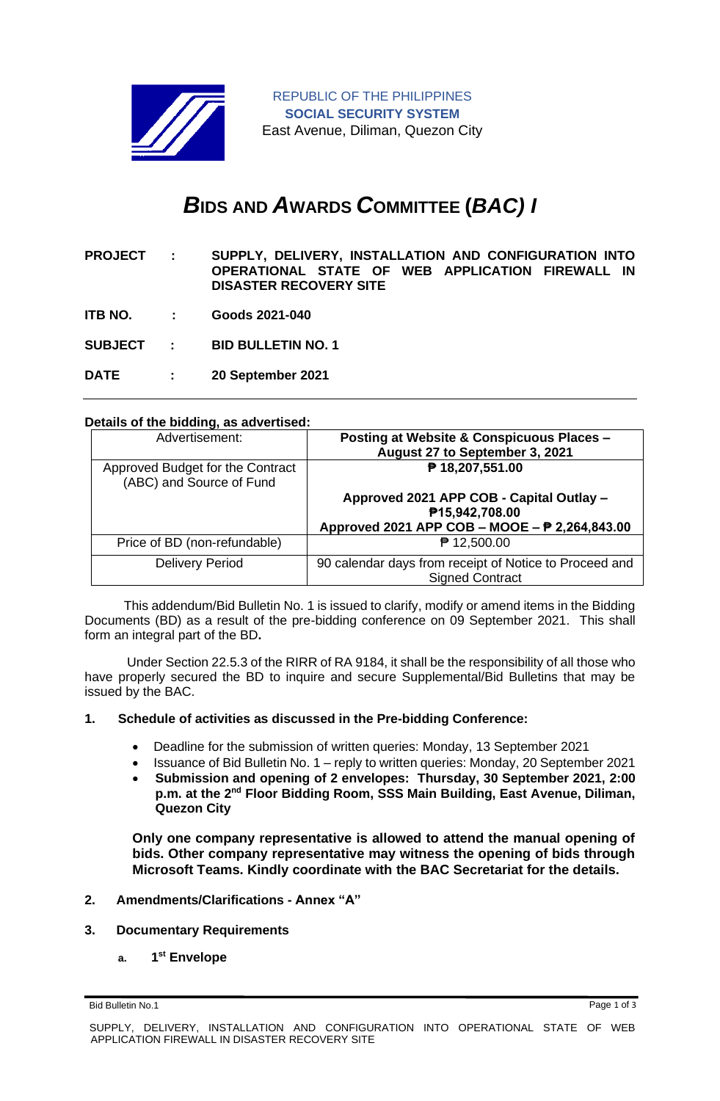

# *B***IDS AND** *A***WARDS** *C***OMMITTEE (***BAC) I*

| <b>PROJECT:</b> | SUPPLY, DELIVERY, INSTALLATION AND CONFIGURATION INTO                             |
|-----------------|-----------------------------------------------------------------------------------|
|                 | OPERATIONAL STATE OF WEB APPLICATION FIREWALL IN<br><b>DISASTER RECOVERY SITE</b> |
|                 |                                                                                   |

**ITB NO. : Goods 2021-040**

**SUBJECT : BID BULLETIN NO. 1**

**DATE : 20 September 2021**

## **Details of the bidding, as advertised:**

| Advertisement:                                               | Posting at Website & Conspicuous Places -<br>August 27 to September 3, 2021      |
|--------------------------------------------------------------|----------------------------------------------------------------------------------|
| Approved Budget for the Contract<br>(ABC) and Source of Fund | ₱ 18,207,551.00                                                                  |
|                                                              | Approved 2021 APP COB - Capital Outlay -                                         |
|                                                              | P15,942,708.00                                                                   |
|                                                              | Approved 2021 APP COB - MOOE - P 2,264,843.00                                    |
| Price of BD (non-refundable)                                 | ₱ 12,500.00                                                                      |
| <b>Delivery Period</b>                                       | 90 calendar days from receipt of Notice to Proceed and<br><b>Signed Contract</b> |

 This addendum/Bid Bulletin No. 1 is issued to clarify, modify or amend items in the Bidding Documents (BD) as a result of the pre-bidding conference on 09 September 2021. This shall form an integral part of the BD**.**

Under Section 22.5.3 of the RIRR of RA 9184, it shall be the responsibility of all those who have properly secured the BD to inquire and secure Supplemental/Bid Bulletins that may be issued by the BAC.

#### **1. Schedule of activities as discussed in the Pre-bidding Conference:**

- Deadline for the submission of written queries: Monday, 13 September 2021
- Issuance of Bid Bulletin No. 1 reply to written queries: Monday, 20 September 2021
- **Submission and opening of 2 envelopes: Thursday, 30 September 2021, 2:00 p.m. at the 2nd Floor Bidding Room, SSS Main Building, East Avenue, Diliman, Quezon City**

**Only one company representative is allowed to attend the manual opening of bids. Other company representative may witness the opening of bids through Microsoft Teams. Kindly coordinate with the BAC Secretariat for the details.**

#### **2. Amendments/Clarifications - Annex "A"**

#### **3. Documentary Requirements**

**a. 1 st Envelope**

Bid Bulletin No.1 Page 1 of 3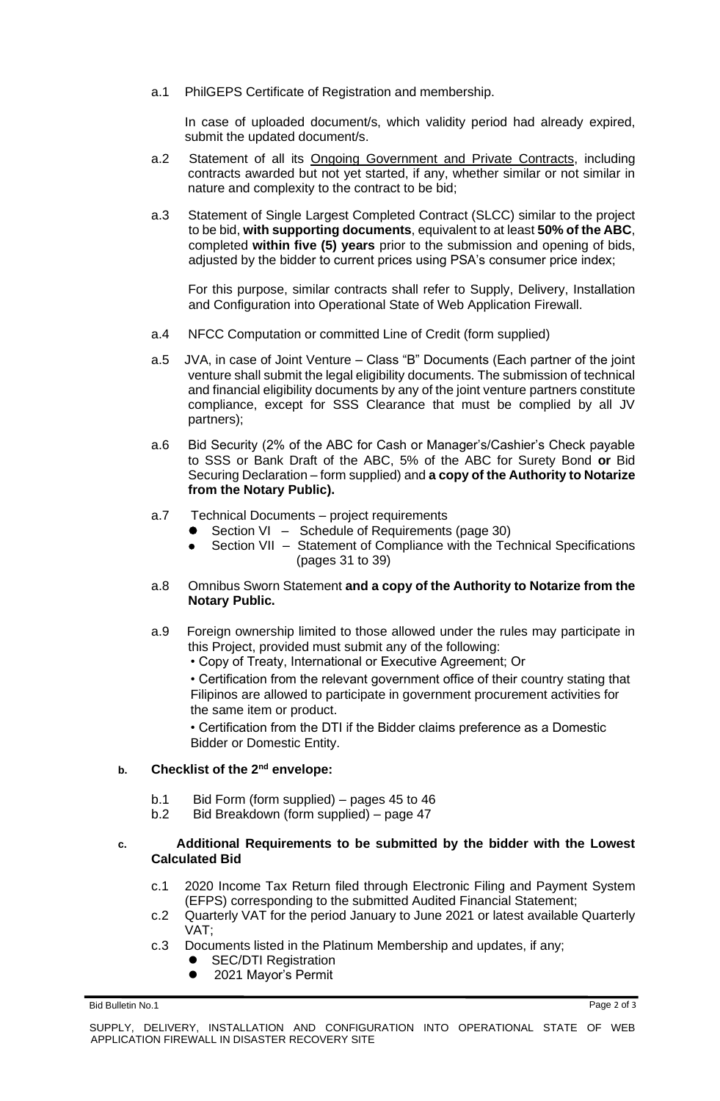a.1 PhilGEPS Certificate of Registration and membership.

In case of uploaded document/s, which validity period had already expired, submit the updated document/s.

- a.2 Statement of all its Ongoing Government and Private Contracts, including contracts awarded but not yet started, if any, whether similar or not similar in nature and complexity to the contract to be bid;
- a.3 Statement of Single Largest Completed Contract (SLCC) similar to the project to be bid, **with supporting documents**, equivalent to at least **50% of the ABC**, completed **within five (5) years** prior to the submission and opening of bids, adjusted by the bidder to current prices using PSA's consumer price index;

For this purpose, similar contracts shall refer to Supply, Delivery, Installation and Configuration into Operational State of Web Application Firewall.

- a.4 NFCC Computation or committed Line of Credit (form supplied)
- a.5 JVA, in case of Joint Venture Class "B" Documents (Each partner of the joint venture shall submit the legal eligibility documents. The submission of technical and financial eligibility documents by any of the joint venture partners constitute compliance, except for SSS Clearance that must be complied by all JV partners);
- a.6 Bid Security (2% of the ABC for Cash or Manager's/Cashier's Check payable to SSS or Bank Draft of the ABC, 5% of the ABC for Surety Bond **or** Bid Securing Declaration – form supplied) and **a copy of the Authority to Notarize from the Notary Public).**
- a.7 Technical Documents project requirements
	- Section VI Schedule of Requirements (page 30)
	- Section VII Statement of Compliance with the Technical Specifications (pages 31 to 39)
- a.8 Omnibus Sworn Statement **and a copy of the Authority to Notarize from the Notary Public.**
- a.9 Foreign ownership limited to those allowed under the rules may participate in this Project, provided must submit any of the following:
	- Copy of Treaty, International or Executive Agreement; Or

• Certification from the relevant government office of their country stating that Filipinos are allowed to participate in government procurement activities for the same item or product.

• Certification from the DTI if the Bidder claims preference as a Domestic Bidder or Domestic Entity.

## **b. Checklist of the 2nd envelope:**

- b.1 Bid Form (form supplied) pages 45 to 46
- b.2 Bid Breakdown (form supplied) page 47

### **c. Additional Requirements to be submitted by the bidder with the Lowest Calculated Bid**

- c.1 2020 Income Tax Return filed through Electronic Filing and Payment System (EFPS) corresponding to the submitted Audited Financial Statement;
- c.2 Quarterly VAT for the period January to June 2021 or latest available Quarterly VAT;
- c.3 Documents listed in the Platinum Membership and updates, if any;
	- **SEC/DTI Registration**
	- 2021 Mayor's Permit

Bid Bulletin No.1 Page 2 of 3